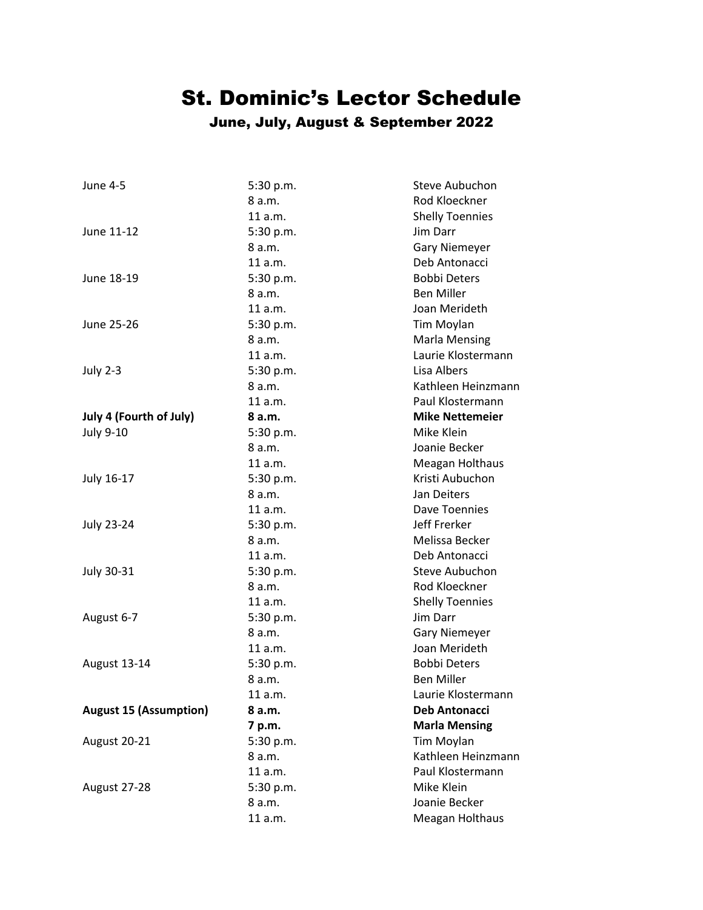## St. Dominic's Lector Schedule

## June, July, August & September 2022

| <b>June 4-5</b>                | 5:30 p.m. | Steve Aubuchon         |
|--------------------------------|-----------|------------------------|
|                                | 8 a.m.    | Rod Kloeckner          |
|                                | 11 a.m.   | <b>Shelly Toennies</b> |
| June 11-12                     | 5:30 p.m. | Jim Darr               |
|                                | 8 a.m.    | <b>Gary Niemeyer</b>   |
|                                | 11 a.m.   | Deb Antonacci          |
| June 18-19                     | 5:30 p.m. | <b>Bobbi Deters</b>    |
|                                | 8a.m.     | <b>Ben Miller</b>      |
|                                | 11 a.m.   | Joan Merideth          |
| June 25-26                     | 5:30 p.m. | Tim Moylan             |
|                                | 8 a.m.    | <b>Marla Mensing</b>   |
|                                | 11a.m.    | Laurie Klostermann     |
| <b>July 2-3</b>                | 5:30 p.m. | Lisa Albers            |
|                                | 8a.m.     | Kathleen Heinzmann     |
|                                | 11a.m.    | Paul Klostermann       |
| <b>July 4 (Fourth of July)</b> | 8 a.m.    | <b>Mike Nettemeier</b> |
| <b>July 9-10</b>               | 5:30 p.m. | Mike Klein             |
|                                | 8 a.m.    | Joanie Becker          |
|                                | 11 a.m.   | Meagan Holthaus        |
| July 16-17                     | 5:30 p.m. | Kristi Aubuchon        |
|                                | 8 a.m.    | Jan Deiters            |
|                                | 11 a.m.   | Dave Toennies          |
| <b>July 23-24</b>              | 5:30 p.m. | Jeff Frerker           |
|                                | 8a.m.     | Melissa Becker         |
|                                | 11 a.m.   | Deb Antonacci          |
| July 30-31                     | 5:30 p.m. | Steve Aubuchon         |
|                                | 8 a.m.    | Rod Kloeckner          |
|                                | 11 a.m.   | <b>Shelly Toennies</b> |
| August 6-7                     | 5:30 p.m. | Jim Darr               |
|                                | 8 a.m.    | <b>Gary Niemeyer</b>   |
|                                | 11 a.m.   | Joan Merideth          |
| August 13-14                   | 5:30 p.m. | <b>Bobbi Deters</b>    |
|                                | 8 a.m.    | <b>Ben Miller</b>      |
|                                | 11 a.m.   | Laurie Klostermann     |
| <b>August 15 (Assumption)</b>  | 8 a.m.    | <b>Deb Antonacci</b>   |
|                                | 7 p.m.    | <b>Marla Mensing</b>   |
| August 20-21                   | 5:30 p.m. | Tim Moylan             |
|                                | 8 a.m.    | Kathleen Heinzmann     |
|                                | 11 a.m.   | Paul Klostermann       |
| August 27-28                   | 5:30 p.m. | Mike Klein             |
|                                | 8 a.m.    | Joanie Becker          |
|                                | 11 a.m.   | Meagan Holthaus        |
|                                |           |                        |